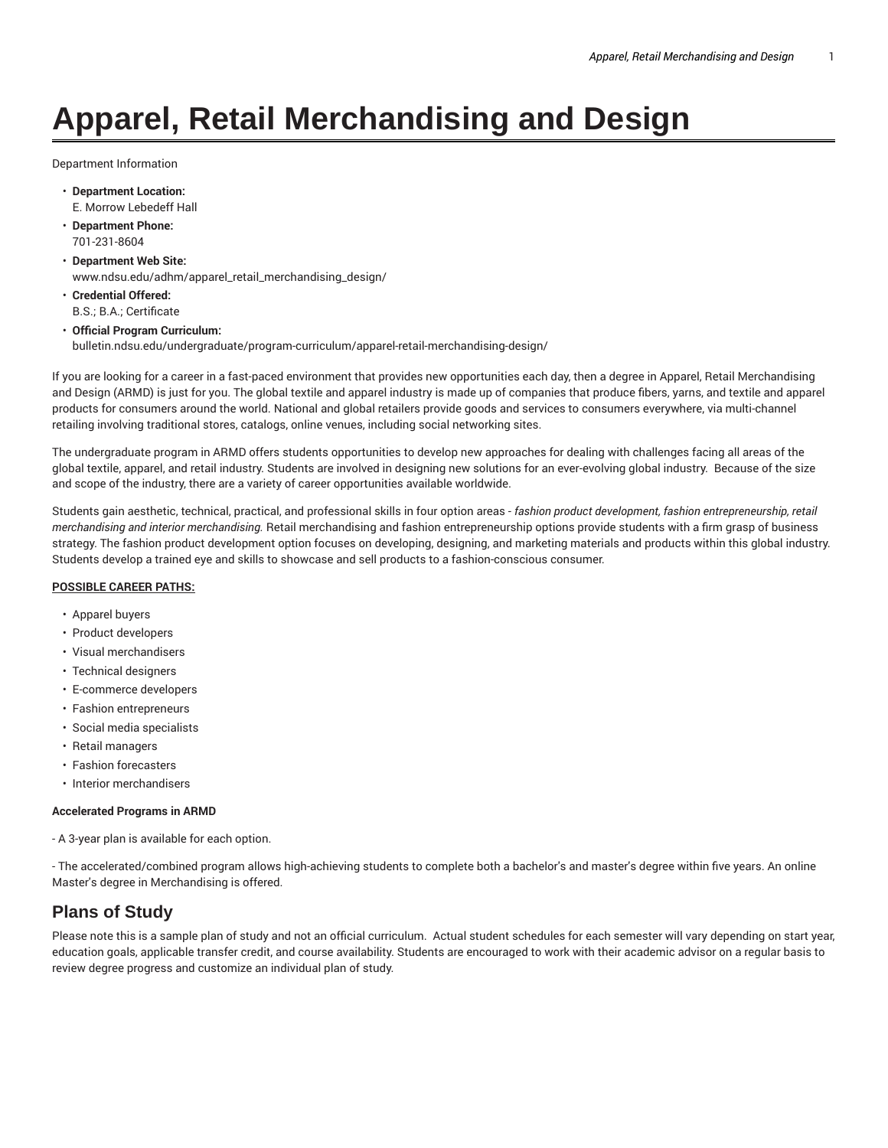# **Apparel, Retail Merchandising and Design**

Department Information

- **Department Location:** E. Morrow Lebedeff Hall
- **Department Phone:** 701-231-8604
- **Department Web Site:** www.ndsu.edu/adhm/apparel\_retail\_merchandising\_design/
- **Credential Offered:** B.S.; B.A.; Certificate
- **Official Program Curriculum:** bulletin.ndsu.edu/undergraduate/program-curriculum/apparel-retail-merchandising-design/

If you are looking for a career in a fast-paced environment that provides new opportunities each day, then a degree in Apparel, Retail Merchandising and Design (ARMD) is just for you. The global textile and apparel industry is made up of companies that produce fibers, yarns, and textile and apparel products for consumers around the world. National and global retailers provide goods and services to consumers everywhere, via multi-channel retailing involving traditional stores, catalogs, online venues, including social networking sites.

The undergraduate program in ARMD offers students opportunities to develop new approaches for dealing with challenges facing all areas of the global textile, apparel, and retail industry. Students are involved in designing new solutions for an ever-evolving global industry. Because of the size and scope of the industry, there are a variety of career opportunities available worldwide.

Students gain aesthetic, technical, practical, and professional skills in four option areas - *fashion product development, fashion entrepreneurship, retail merchandising and interior merchandising.* Retail merchandising and fashion entrepreneurship options provide students with a firm grasp of business strategy. The fashion product development option focuses on developing, designing, and marketing materials and products within this global industry. Students develop a trained eye and skills to showcase and sell products to a fashion-conscious consumer.

### **POSSIBLE CAREER PATHS:**

- Apparel buyers
- Product developers
- Visual merchandisers
- Technical designers
- E-commerce developers
- Fashion entrepreneurs
- Social media specialists
- Retail managers
- Fashion forecasters
- Interior merchandisers

#### **Accelerated Programs in ARMD**

- A 3-year plan is available for each option.

- The accelerated/combined program allows high-achieving students to complete both a bachelor's and master's degree within five years. An online Master's degree in Merchandising is offered.

# **Plans of Study**

Please note this is a sample plan of study and not an official curriculum. Actual student schedules for each semester will vary depending on start year, education goals, applicable transfer credit, and course availability. Students are encouraged to work with their academic advisor on a regular basis to review degree progress and customize an individual plan of study.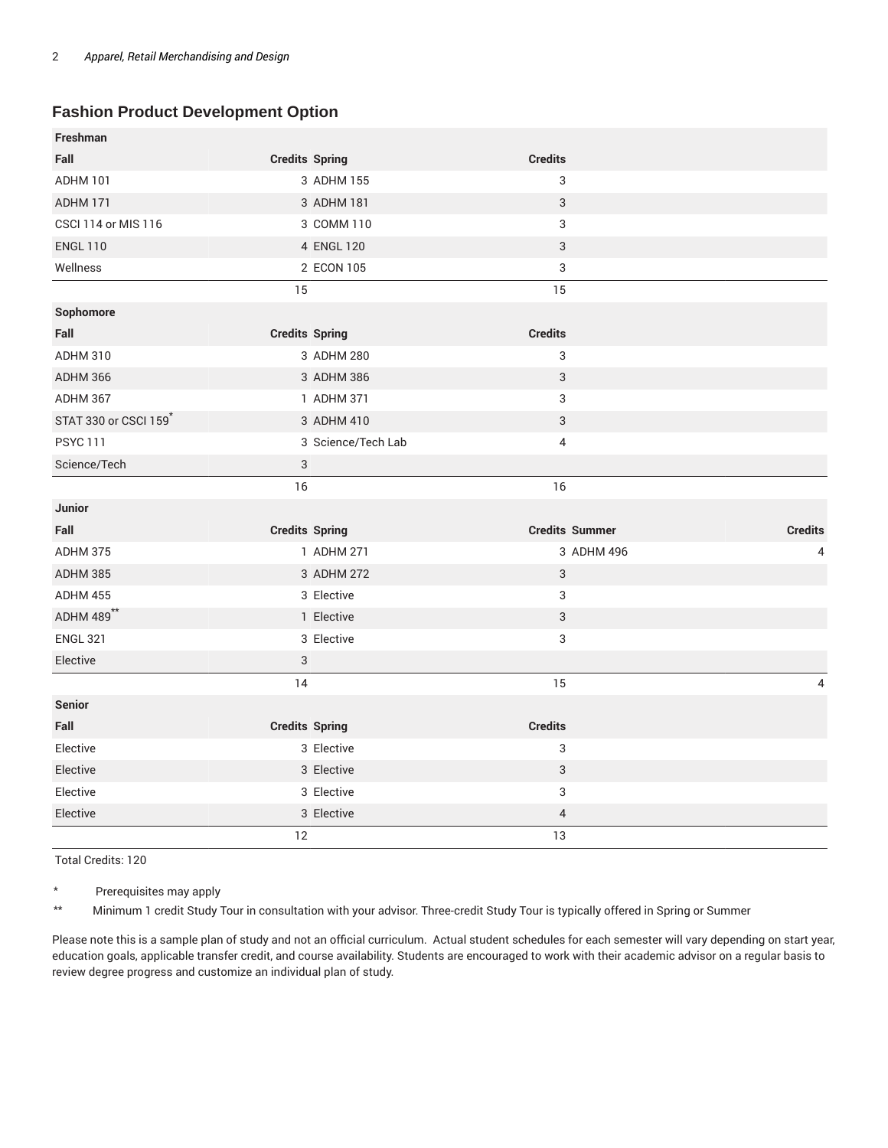## **Fashion Product Development Option**

| Freshman                   |                       |                           |                         |
|----------------------------|-----------------------|---------------------------|-------------------------|
| Fall                       | <b>Credits Spring</b> | <b>Credits</b>            |                         |
| <b>ADHM 101</b>            | 3 ADHM 155            | 3                         |                         |
| ADHM 171                   | 3 ADHM 181            | 3                         |                         |
| <b>CSCI 114 or MIS 116</b> | 3 COMM 110            | 3                         |                         |
| <b>ENGL 110</b>            | 4 ENGL 120            | $\sqrt{3}$                |                         |
| Wellness                   | 2 ECON 105            | $\ensuremath{\mathsf{3}}$ |                         |
|                            | 15                    | 15                        |                         |
| Sophomore                  |                       |                           |                         |
| Fall                       | <b>Credits Spring</b> | <b>Credits</b>            |                         |
| ADHM 310                   | 3 ADHM 280            | 3                         |                         |
| <b>ADHM 366</b>            | 3 ADHM 386            | $\ensuremath{\mathsf{3}}$ |                         |
| ADHM 367                   | 1 ADHM 371            | 3                         |                         |
| STAT 330 or CSCI 159       | 3 ADHM 410            | 3                         |                         |
| <b>PSYC 111</b>            | 3 Science/Tech Lab    | $\overline{4}$            |                         |
| Science/Tech               | $\sqrt{3}$            |                           |                         |
|                            | 16                    | 16                        |                         |
| Junior                     |                       |                           |                         |
| Fall                       | <b>Credits Spring</b> | <b>Credits Summer</b>     | <b>Credits</b>          |
| <b>ADHM 375</b>            | 1 ADHM 271            | 3 ADHM 496                | 4                       |
| ADHM 385                   | 3 ADHM 272            | 3                         |                         |
| <b>ADHM 455</b>            | 3 Elective            | 3                         |                         |
| ADHM 489**                 | 1 Elective            | 3                         |                         |
| <b>ENGL 321</b>            | 3 Elective            | $\ensuremath{\mathsf{3}}$ |                         |
| Elective                   | 3                     |                           |                         |
|                            | 14                    | 15                        | $\overline{\mathbf{4}}$ |
| <b>Senior</b>              |                       |                           |                         |
| Fall                       | <b>Credits Spring</b> | <b>Credits</b>            |                         |
| Elective                   | 3 Elective            | $\ensuremath{\mathsf{3}}$ |                         |
| Elective                   | 3 Elective            | $\ensuremath{\mathsf{3}}$ |                         |
| Elective                   | 3 Elective            | 3                         |                         |
| Elective                   | 3 Elective            | $\overline{4}$            |                         |
|                            | 12                    | 13                        |                         |

Total Credits: 120

\* Prerequisites may apply

\*\* Minimum 1 credit Study Tour in consultation with your advisor. Three-credit Study Tour is typically offered in Spring or Summer

Please note this is a sample plan of study and not an official curriculum. Actual student schedules for each semester will vary depending on start year, education goals, applicable transfer credit, and course availability. Students are encouraged to work with their academic advisor on a regular basis to review degree progress and customize an individual plan of study.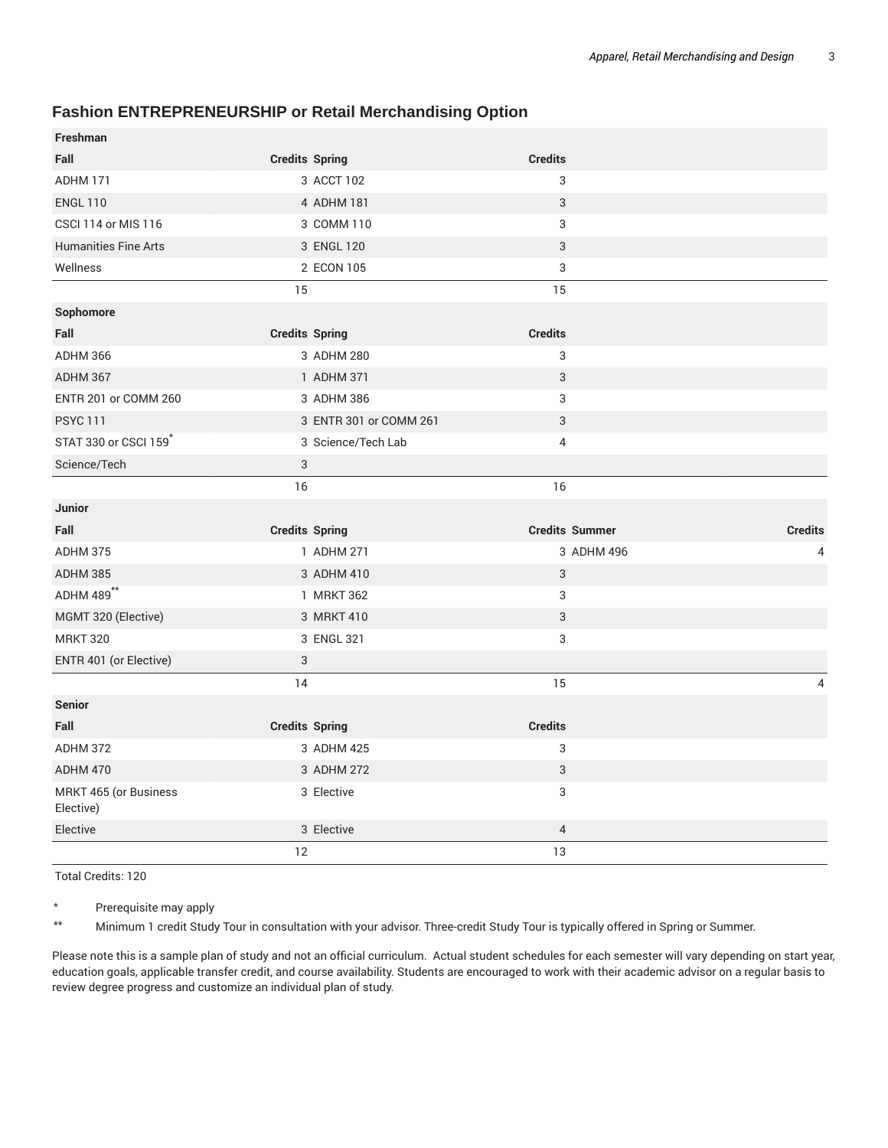## **Fashion ENTREPRENEURSHIP or Retail Merchandising Option**

| <b>Freshman</b>                    |                        |                           |                |
|------------------------------------|------------------------|---------------------------|----------------|
| Fall                               | <b>Credits Spring</b>  | <b>Credits</b>            |                |
| ADHM 171                           | 3 ACCT 102             | 3                         |                |
| <b>ENGL 110</b>                    | 4 ADHM 181             | $\sqrt{3}$                |                |
| <b>CSCI 114 or MIS 116</b>         | 3 COMM 110             | 3                         |                |
| <b>Humanities Fine Arts</b>        | 3 ENGL 120             | 3                         |                |
| Wellness                           | 2 ECON 105             | 3                         |                |
|                                    | 15                     | 15                        |                |
| Sophomore                          |                        |                           |                |
| Fall                               | <b>Credits Spring</b>  | <b>Credits</b>            |                |
| <b>ADHM 366</b>                    | 3 ADHM 280             | 3                         |                |
| ADHM 367                           | 1 ADHM 371             | 3                         |                |
| ENTR 201 or COMM 260               | 3 ADHM 386             | 3                         |                |
| <b>PSYC 111</b>                    | 3 ENTR 301 or COMM 261 | 3                         |                |
| STAT 330 or CSCI 159*              | 3 Science/Tech Lab     | $\overline{4}$            |                |
| Science/Tech                       | 3                      |                           |                |
|                                    | 16                     | 16                        |                |
|                                    |                        |                           |                |
| <b>Junior</b>                      |                        |                           |                |
| Fall                               | <b>Credits Spring</b>  | <b>Credits Summer</b>     | <b>Credits</b> |
| ADHM 375                           | 1 ADHM 271             | 3 ADHM 496                | 4              |
| <b>ADHM 385</b>                    | 3 ADHM 410             | 3                         |                |
| ADHM 489**                         | 1 MRKT 362             | 3                         |                |
| MGMT 320 (Elective)                | 3 MRKT 410             | $\ensuremath{\mathsf{3}}$ |                |
| <b>MRKT 320</b>                    | 3 ENGL 321             | 3                         |                |
| ENTR 401 (or Elective)             | 3                      |                           |                |
|                                    | 14                     | 15                        | 4              |
| <b>Senior</b>                      |                        |                           |                |
| Fall                               | <b>Credits Spring</b>  | <b>Credits</b>            |                |
| ADHM 372                           | 3 ADHM 425             | 3                         |                |
| <b>ADHM 470</b>                    | 3 ADHM 272             | $\sqrt{3}$                |                |
| MRKT 465 (or Business<br>Elective) | 3 Elective             | 3                         |                |
| Elective                           | 3 Elective             | $\overline{4}$            |                |

Total Credits: 120

\* Prerequisite may apply

\*\* Minimum 1 credit Study Tour in consultation with your advisor. Three-credit Study Tour is typically offered in Spring or Summer.

Please note this is a sample plan of study and not an official curriculum. Actual student schedules for each semester will vary depending on start year, education goals, applicable transfer credit, and course availability. Students are encouraged to work with their academic advisor on a regular basis to review degree progress and customize an individual plan of study.